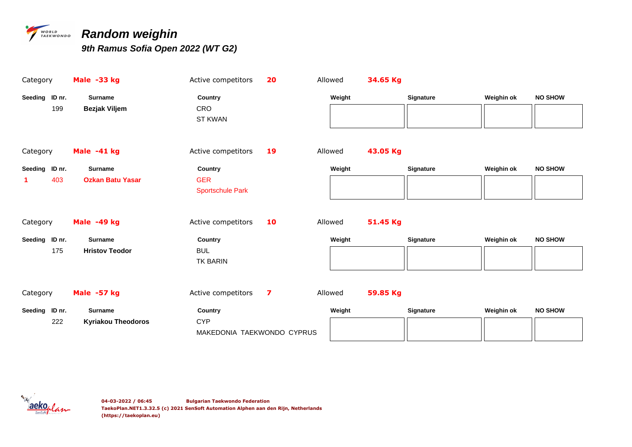

### *PARARDOM Weighin*

| Category       | Male -33 kg               | Active competitors                       | 20 | Allowed | 34.65 Kg |                  |            |                |
|----------------|---------------------------|------------------------------------------|----|---------|----------|------------------|------------|----------------|
| Seeding ID nr. | <b>Surname</b>            | Country                                  |    | Weight  |          | <b>Signature</b> | Weighin ok | <b>NO SHOW</b> |
| 199            | Bezjak Viljem             | CRO<br><b>ST KWAN</b>                    |    |         |          |                  |            |                |
| Category       | Male -41 kg               | Active competitors                       | 19 | Allowed | 43.05 Kg |                  |            |                |
| Seeding ID nr. | <b>Surname</b>            | Country                                  |    | Weight  |          | <b>Signature</b> | Weighin ok | <b>NO SHOW</b> |
| 403<br>1       | <b>Ozkan Batu Yasar</b>   | <b>GER</b><br><b>Sportschule Park</b>    |    |         |          |                  |            |                |
| Category       | Male -49 kg               | Active competitors                       | 10 | Allowed | 51.45 Kg |                  |            |                |
| Seeding ID nr. | <b>Surname</b>            | Country                                  |    | Weight  |          | <b>Signature</b> | Weighin ok | <b>NO SHOW</b> |
| 175            | <b>Hristov Teodor</b>     | <b>BUL</b><br><b>TK BARIN</b>            |    |         |          |                  |            |                |
| Category       | Male -57 kg               | Active competitors                       | 7  | Allowed | 59.85 Kg |                  |            |                |
| Seeding ID nr. | <b>Surname</b>            | Country                                  |    | Weight  |          | <b>Signature</b> | Weighin ok | <b>NO SHOW</b> |
| 222            | <b>Kyriakou Theodoros</b> | <b>CYP</b><br>MAKEDONIA TAEKWONDO CYPRUS |    |         |          |                  |            |                |

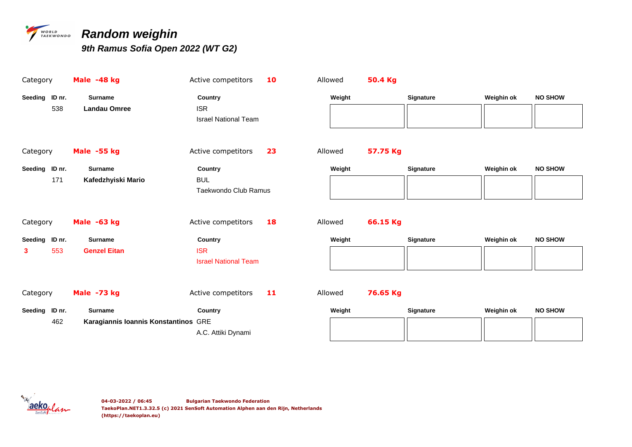

### **TAEKWONDO Random weighin**

| Category       |     | Male -48 kg                          | Active competitors                        | 10 | Allowed | 50.4 Kg  |                  |            |                |
|----------------|-----|--------------------------------------|-------------------------------------------|----|---------|----------|------------------|------------|----------------|
| Seeding ID nr. |     | <b>Surname</b>                       | Country                                   |    | Weight  |          | <b>Signature</b> | Weighin ok | <b>NO SHOW</b> |
|                | 538 | <b>Landau Omree</b>                  | <b>ISR</b><br><b>Israel National Team</b> |    |         |          |                  |            |                |
| Category       |     | Male -55 kg                          | Active competitors                        | 23 | Allowed | 57.75 Kg |                  |            |                |
| Seeding ID nr. |     | <b>Surname</b>                       | Country                                   |    | Weight  |          | <b>Signature</b> | Weighin ok | <b>NO SHOW</b> |
|                | 171 | Kafedzhyiski Mario                   | <b>BUL</b><br>Taekwondo Club Ramus        |    |         |          |                  |            |                |
| Category       |     | Male -63 kg                          | Active competitors                        | 18 | Allowed | 66.15 Kg |                  |            |                |
| Seeding ID nr. |     | <b>Surname</b>                       | Country                                   |    | Weight  |          | Signature        | Weighin ok | <b>NO SHOW</b> |
| 3              | 553 | <b>Genzel Eitan</b>                  | <b>ISR</b><br><b>Israel National Team</b> |    |         |          |                  |            |                |
| Category       |     | Male -73 kg                          | Active competitors                        | 11 | Allowed | 76.65 Kg |                  |            |                |
| Seeding ID nr. |     | <b>Surname</b>                       | Country                                   |    | Weight  |          | Signature        | Weighin ok | <b>NO SHOW</b> |
|                | 462 | Karagiannis Ioannis Konstantinos GRE |                                           |    |         |          |                  |            |                |
|                |     |                                      | A.C. Attiki Dynami                        |    |         |          |                  |            |                |

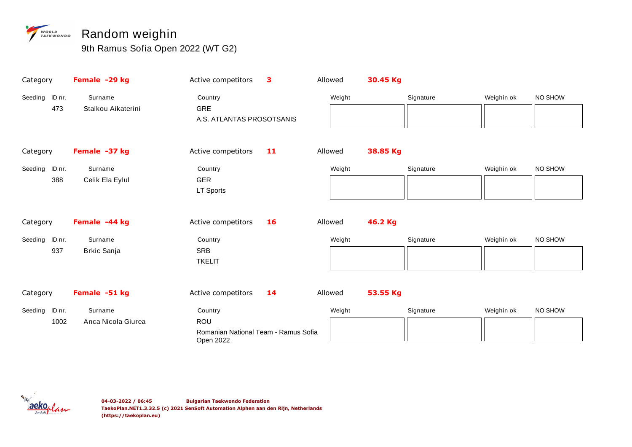## **WORLD Random weighin**

| Category       |      | Female -29 kg      | Active competitors                                | 3  | Allowed | 30.45 Kg |           |            |         |
|----------------|------|--------------------|---------------------------------------------------|----|---------|----------|-----------|------------|---------|
| Seeding ID nr. |      | Surname            | Country                                           |    | Weight  |          | Signature | Weighin ok | NO SHOW |
|                | 473  | Staikou Aikaterini | <b>GRE</b>                                        |    |         |          |           |            |         |
|                |      |                    | A.S. ATLANTAS PROSOTSANIS                         |    |         |          |           |            |         |
|                |      |                    |                                                   |    |         |          |           |            |         |
| Category       |      | Female -37 kg      | Active competitors                                | 11 | Allowed | 38.85 Kg |           |            |         |
| Seeding ID nr. |      | Surname            | Country                                           |    | Weight  |          | Signature | Weighin ok | NO SHOW |
|                | 388  | Celik Ela Eylul    | <b>GER</b>                                        |    |         |          |           |            |         |
|                |      |                    | LT Sports                                         |    |         |          |           |            |         |
|                |      |                    |                                                   |    |         |          |           |            |         |
| Category       |      | Female -44 kg      | Active competitors                                | 16 | Allowed | 46.2 Kg  |           |            |         |
| Seeding ID nr. |      | Surname            | Country                                           |    | Weight  |          | Signature | Weighin ok | NO SHOW |
|                | 937  | <b>Brkic Sanja</b> | <b>SRB</b>                                        |    |         |          |           |            |         |
|                |      |                    | <b>TKELIT</b>                                     |    |         |          |           |            |         |
|                |      |                    |                                                   |    |         |          |           |            |         |
| Category       |      | Female -51 kg      | Active competitors                                | 14 | Allowed | 53.55 Kg |           |            |         |
| Seeding ID nr. |      | Surname            | Country                                           |    | Weight  |          | Signature | Weighin ok | NO SHOW |
|                | 1002 | Anca Nicola Giurea | ROU                                               |    |         |          |           |            |         |
|                |      |                    | Romanian National Team - Ramus Sofia<br>Open 2022 |    |         |          |           |            |         |

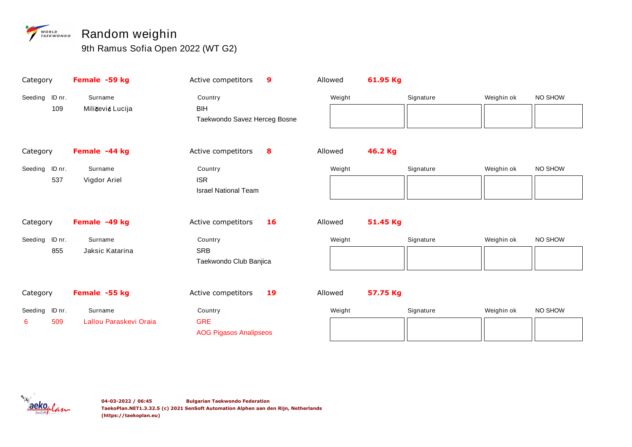## **WORLD Random weighin**

| Category                   | Female -59 kg                     | Active competitors                                     | 9  | Allowed | 61.95 Kg |           |            |         |
|----------------------------|-----------------------------------|--------------------------------------------------------|----|---------|----------|-----------|------------|---------|
| ID nr.<br>Seeding<br>109   | Surname<br>Miličević Lucija       | Country<br><b>BIH</b><br>Taekwondo Savez Herceg Bosne  |    | Weight  |          | Signature | Weighin ok | NO SHOW |
| Category                   | Female -44 kg                     | Active competitors                                     | 8  | Allowed | 46.2 Kg  |           |            |         |
| Seeding ID nr.<br>537      | Surname<br>Vigdor Ariel           | Country<br><b>ISR</b><br><b>Israel National Team</b>   |    | Weight  |          | Signature | Weighin ok | NO SHOW |
| Category                   | Female -49 kg                     | Active competitors                                     | 16 | Allowed | 51.45 Kg |           |            |         |
| Seeding ID nr.<br>855      | Surname<br>Jaksic Katarina        | Country<br><b>SRB</b><br>Taekwondo Club Banjica        |    | Weight  |          | Signature | Weighin ok | NO SHOW |
| Category                   | Female -55 kg                     | Active competitors                                     | 19 | Allowed | 57.75 Kg |           |            |         |
| Seeding ID nr.<br>509<br>6 | Surname<br>Lallou Paraskevi Oraia | Country<br><b>GRE</b><br><b>AOG Pigasos Analipseos</b> |    | Weight  |          | Signature | Weighin ok | NO SHOW |